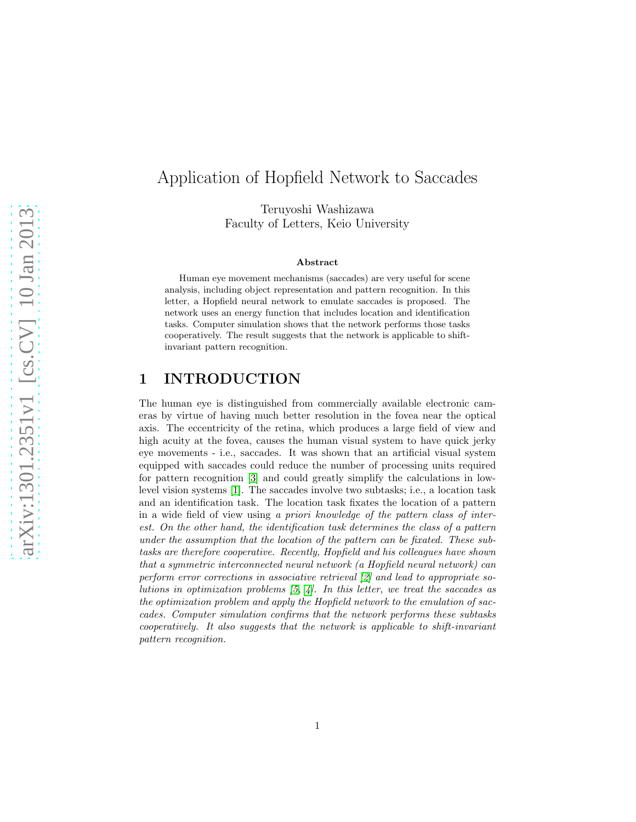# Application of Hopfield Network to Saccades

Teruyoshi Washizawa Faculty of Letters, Keio University

#### Abstract

Human eye movement mechanisms (saccades) are very useful for scene analysis, including object representation and pattern recognition. In this letter, a Hopfield neural network to emulate saccades is proposed. The network uses an energy function that includes location and identification tasks. Computer simulation shows that the network performs those tasks cooperatively. The result suggests that the network is applicable to shiftinvariant pattern recognition.

## 1 INTRODUCTION

The human eye is distinguished from commercially available electronic cameras by virtue of having much better resolution in the fovea near the optical axis. The eccentricity of the retina, which produces a large field of view and high acuity at the fovea, causes the human visual system to have quick jerky eye movements - i.e., saccades. It was shown that an artificial visual system equipped with saccades could reduce the number of processing units required for pattern recognition [\[3\]](#page-5-0) and could greatly simplify the calculations in lowlevel vision systems [\[1\]](#page-5-1). The saccades involve two subtasks; i.e., a location task and an identification task. The location task fixates the location of a pattern in a wide field of view using *a priori knowledge of the pattern class of interest. On the other hand, the identification task determines the class of a pattern under the assumption that the location of the pattern can be fixated. These subtasks are therefore cooperative. Recently, Hopfield and his colleagues have shown that a symmetric interconnected neural network (a Hopfield neural network) can perform error corrections in associative retrieval [\[2\]](#page-5-2) and lead to appropriate solutions in optimization problems [\[5,](#page-5-3) [4\]](#page-5-4). In this letter, we treat the saccades as the optimization problem and apply the Hopfield network to the emulation of saccades. Computer simulation confirms that the network performs these subtasks cooperatively. It also suggests that the network is applicable to shift-invariant pattern recognition.*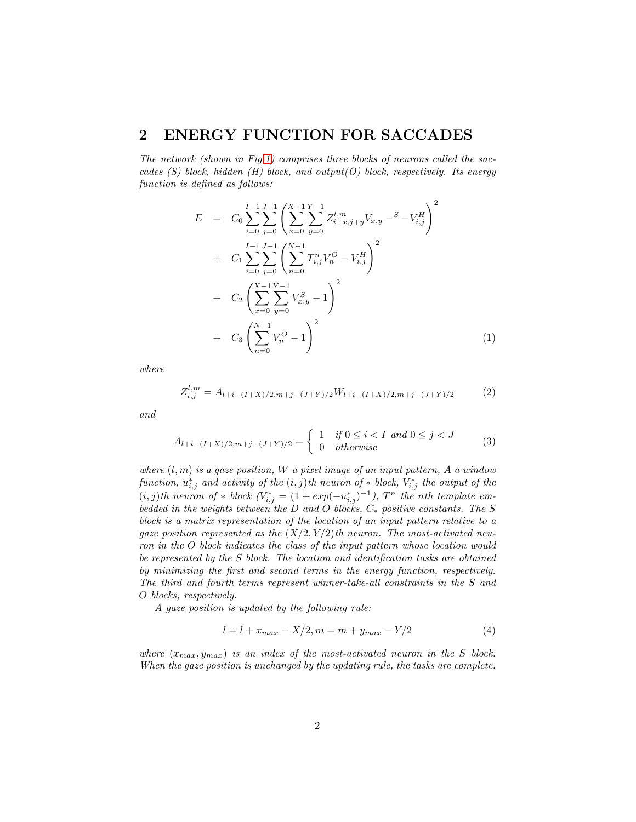### 2 ENERGY FUNCTION FOR SACCADES

*The network (shown in Fig[.1\)](#page-2-0) comprises three blocks of neurons called the saccades (S) block, hidden (H) block, and output(O) block, respectively. Its energy function is defined as follows:*

$$
E = C_0 \sum_{i=0}^{I-1} \sum_{j=0}^{J-1} \left( \sum_{x=0}^{X-1} \sum_{y=0}^{Y-1} Z_{i+x,j+y}^{l,m} V_{x,y} - S - V_{i,j}^H \right)^2
$$
  
+ 
$$
C_1 \sum_{i=0}^{I-1} \sum_{j=0}^{J-1} \left( \sum_{n=0}^{N-1} T_{i,j}^n V_n^O - V_{i,j}^H \right)^2
$$
  
+ 
$$
C_2 \left( \sum_{x=0}^{X-1} \sum_{y=0}^{Y-1} V_{x,y}^S - 1 \right)^2
$$
  
+ 
$$
C_3 \left( \sum_{n=0}^{N-1} V_n^O - 1 \right)^2
$$
 (1)

*where*

$$
Z_{i,j}^{l,m} = A_{l+i-(I+X)/2,m+j-(J+Y)/2}W_{l+i-(I+X)/2,m+j-(J+Y)/2}
$$
 (2)

*and*

$$
A_{l+i-(I+X)/2,m+j-(J+Y)/2} = \begin{cases} 1 & \text{if } 0 \le i < I \text{ and } 0 \le j < J \\ 0 & \text{otherwise} \end{cases}
$$
 (3)

*where* (l, m) *is a gaze position,* W *a pixel image of an input pattern,* A *a window*  $function, u_{i,j}^*$  *and activity of the*  $(i, j)$ *th neuron of*  $*$  *block,*  $V_{i,j}^*$  *the output of the*  $(i, j)$ th neuron of \* block  $(V_{i,j}^* = (1 + exp(-u_{i,j}^*)^{-1}), T^n$  the nth template em*bedded in the weights between the* D *and* O *blocks,* C<sup>∗</sup> *positive constants. The* S *block is a matrix representation of the location of an input pattern relative to a gaze position represented as the* (X/2, Y /2)*th neuron. The most-activated neuron in the* O *block indicates the class of the input pattern whose location would be represented by the* S *block. The location and identification tasks are obtained by minimizing the first and second terms in the energy function, respectively. The third and fourth terms represent winner-take-all constraints in the* S *and* O *blocks, respectively.*

*A gaze position is updated by the following rule:*

$$
l = l + x_{max} - X/2, m = m + y_{max} - Y/2
$$
 (4)

*where*  $(x_{max}, y_{max})$  *is an index of the most-activated neuron in the* S *block. When the gaze position is unchanged by the updating rule, the tasks are complete.*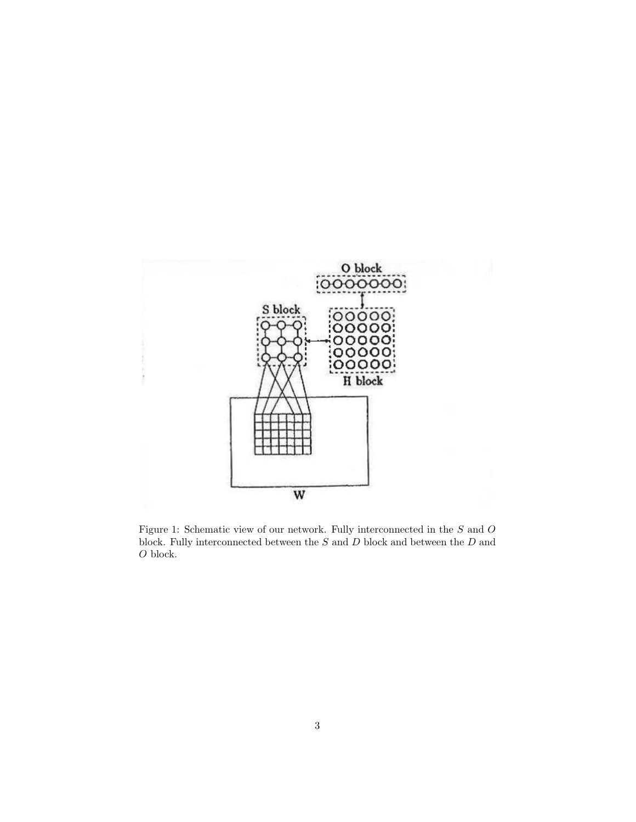

<span id="page-2-0"></span>Figure 1: Schematic view of our network. Fully interconnected in the  $S$  and  $O$ block. Fully interconnected between the  $S$  and  $D$  block and between the  $D$  and  ${\cal O}$  block.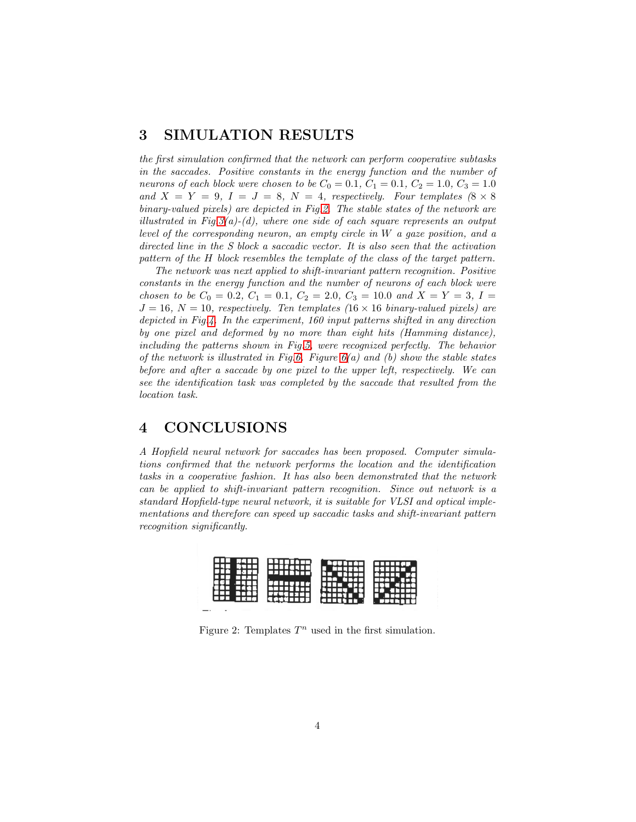### 3 SIMULATION RESULTS

*the first simulation confirmed that the network can perform cooperative subtasks in the saccades. Positive constants in the energy function and the number of neurons of each block were chosen to be*  $C_0 = 0.1, C_1 = 0.1, C_2 = 1.0, C_3 = 1.0$ and  $X = Y = 9$ ,  $I = J = 8$ ,  $N = 4$ , respectively. Four templates  $(8 \times 8)$ *binary-valued pixels) are depicted in Fig[.2.](#page-3-0) The stable states of the network are illustrated in Fig[.3\(](#page-4-0)a)-(d), where one side of each square represents an output level of the corresponding neuron, an empty circle in* W *a gaze position, and a directed line in the S block a saccadic vector. It is also seen that the activation pattern of the* H *block resembles the template of the class of the target pattern.*

*The network was next applied to shift-invariant pattern recognition. Positive constants in the energy function and the number of neurons of each block were chosen to be*  $C_0 = 0.2$ ,  $C_1 = 0.1$ ,  $C_2 = 2.0$ ,  $C_3 = 10.0$  *and*  $X = Y = 3$ ,  $I =$  $J = 16$ ,  $N = 10$ , respectively. Ten templates  $(16 \times 16 \text{ binary-valued pixels})$  are *depicted in Fig[.4.](#page-4-1) In the experiment, 160 input patterns shifted in any direction by one pixel and deformed by no more than eight hits (Hamming distance), including the patterns shown in Fig[.5,](#page-4-2) were recognized perfectly. The behavior of the network is illustrated in Fig[.6.](#page-5-5) Figure [6\(](#page-5-5)a) and (b) show the stable states before and after a saccade by one pixel to the upper left, respectively. We can see the identification task was completed by the saccade that resulted from the location task.*

# 4 CONCLUSIONS

*A Hopfield neural network for saccades has been proposed. Computer simulations confirmed that the network performs the location and the identification tasks in a cooperative fashion. It has also been demonstrated that the network can be applied to shift-invariant pattern recognition. Since out network is a standard Hopfield-type neural network, it is suitable for VLSI and optical implementations and therefore can speed up saccadic tasks and shift-invariant pattern recognition significantly.*



<span id="page-3-0"></span>Figure 2: Templates  $T^n$  used in the first simulation.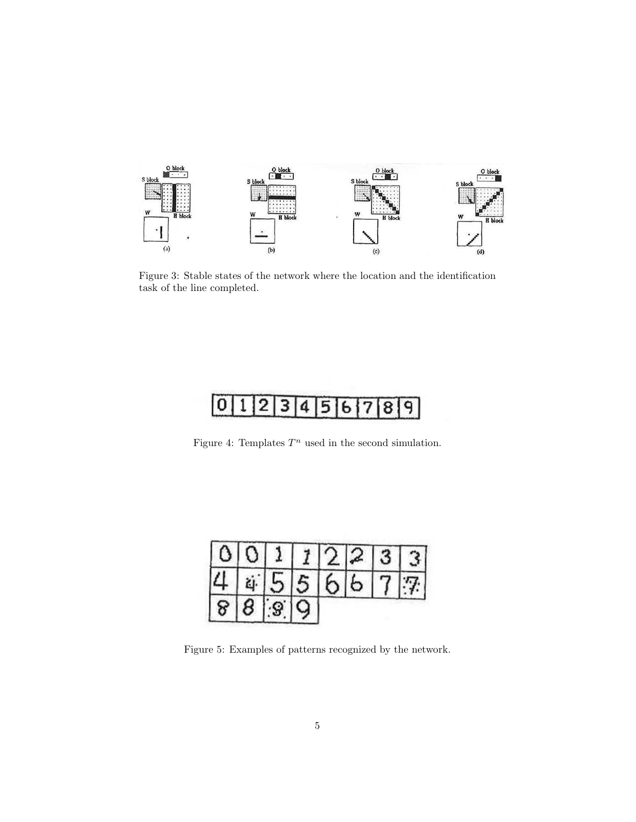

<span id="page-4-0"></span>Figure 3: Stable states of the network where the location and the identification task of the line completed.



<span id="page-4-1"></span>Figure 4: Templates  $T^n$  used in the second simulation.

| $\mathbf{A}^{\perp}$ |     | 0111 |     | 712      |          | $\mathbf{z}$ |
|----------------------|-----|------|-----|----------|----------|--------------|
| $\mathbf{u}$         | řί. |      | 5 5 | $\sigma$ | $\sigma$ | 7            |
| 818                  |     |      |     |          |          |              |

<span id="page-4-2"></span>Figure 5: Examples of patterns recognized by the network.